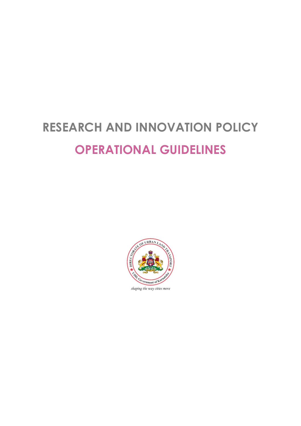# **RESEARCH AND INNOVATION POLICY OPERATIONAL GUIDELINES**



shaping the way cities move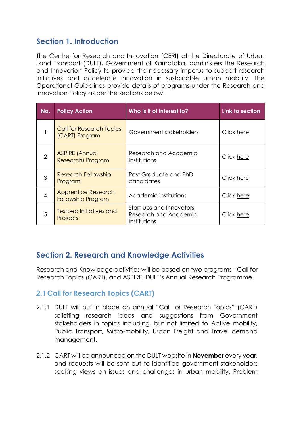# **Section 1. Introduction**

The Centre for Research and Innovation (CERI) at the Directorate of Urban Land Transport (DULT), Government of Karnataka, administers the [Research](https://drive.google.com/file/d/1q-zvuEjtlXPfXRg106GANYh14HtZBadc/view?usp=sharing)  [and Innovation Policy](https://drive.google.com/file/d/1q-zvuEjtlXPfXRg106GANYh14HtZBadc/view?usp=sharing) to provide the necessary impetus to support research initiatives and accelerate innovation in sustainable urban mobility. The Operational Guidelines provide details of programs under the Research and Innovation Policy as per the sections below.

| No.                      | <b>Policy Action</b>                                    | Who is it of interest to?                                          | Link to section |
|--------------------------|---------------------------------------------------------|--------------------------------------------------------------------|-----------------|
|                          | <b>Call for Research Topics</b><br>(CART) Program       | Government stakeholders                                            | Click here      |
| 2                        | <b>ASPIRE (Annual</b><br>Research) Program              | Research and Academic<br>Institutions                              | Click here      |
| 3                        | <b>Research Fellowship</b><br>Program                   | Post Graduate and PhD<br>candidates                                | Click here      |
| $\overline{\mathcal{A}}$ | <b>Apprentice Research</b><br><b>Fellowship Program</b> | Academic institutions                                              | Click here      |
| 5                        | <b>Testbed Initiatives and</b><br><b>Projects</b>       | Start-ups and Innovators,<br>Research and Academic<br>Institutions | Click here      |

# **Section 2. Research and Knowledge Activities**

Research and Knowledge activities will be based on two programs - Call for Research Topics (CART), and ASPIRE, DULT's Annual Research Programme.

## <span id="page-1-0"></span>**2.1Call for Research Topics (CART)**

- 2.1.1 DULT will put in place an annual "Call for Research Topics" (CART) soliciting research ideas and suggestions from Government stakeholders in topics including, but not limited to Active mobility, Public Transport, Micro-mobility, Urban Freight and Travel demand management.
- 2.1.2 CART will be announced on the DULT website in **November** every year, and requests will be sent out to identified government stakeholders seeking views on issues and challenges in urban mobility. Problem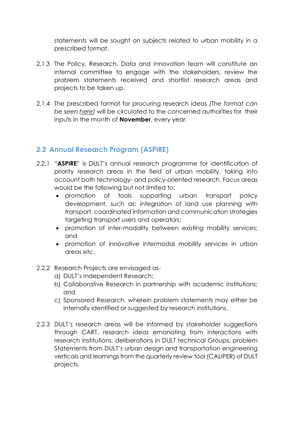statements will be sought on subjects related to urban mobility in a prescribed format.

- 2.1.3 The Policy, Research, Data and Innovation team will constitute an internal committee to engage with the stakeholders, review the problem statements received and shortlist research areas and projects to be taken up.
- 2.1.4 The prescribed format for procuring research ideas *(The format can be seen [here\)](https://docs.google.com/spreadsheets/d/1Xfvfqsdw19FMbouKJu5t7x4ifklIpu9O/edit?usp=sharing&ouid=108673197506802099480&rtpof=true&sd=true)* will be circulated to the concerned authorities for their inputs in the month of **November**, every year.

## <span id="page-2-0"></span>**2.2 Annual Research Program (ASPIRE)**

- 2.2.1 "**ASPIRE**" is DULT's annual research programme for identification of priority research areas in the field of urban mobility, taking into account both technology- and policy-oriented research. Focus areas would be the following but not limited to;
	- promotion of tools supporting urban transport policy development, such as: integration of land use planning with transport, coordinated information and communication strategies targeting transport users and operators;
	- promotion of inter-modality between existing mobility services; and
	- promotion of innovative intermodal mobility services in urban areas etc.
- 2.2.2 Research Projects are envisaged as
	- a) DULT's Independent Research;
	- b) Collaborative Research in partnership with academic institutions; and
	- c) Sponsored Research, wherein problem statements may either be internally identified or suggested by research institutions.
- 2.2.3 DULT's research areas will be informed by stakeholder suggestions through CART, research ideas emanating from interactions with research institutions, deliberations in DULT technical Groups, problem Statements from DULT's urban design and transportation engineering verticals and learnings from the quarterly review tool (CALIPER) of DULT projects.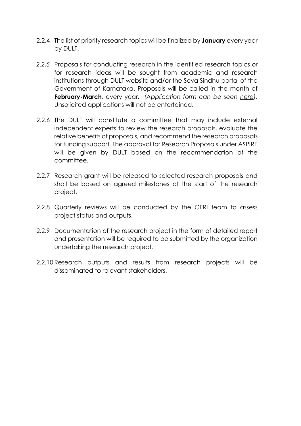- 2.2.4 The list of priority research topics will be finalized by **January** every year by DULT.
- *2.2.5* Proposals for conducting research in the identified research topics or for research ideas will be sought from academic and research institutions through DULT website and/or the Seva Sindhu portal of the Government of Karnataka. Proposals will be called in the month of **February-March**, every year. *(Application form can be seen [here\)](https://docs.google.com/spreadsheets/d/1dS7nOPhIKPUU8yNKDzRKhX0GJpJpr5cD/edit?usp=sharing&ouid=108673197506802099480&rtpof=true&sd=true).*  Unsolicited applications will not be entertained.
- 2.2.6 The DULT will constitute a committee that may include external independent experts to review the research proposals, evaluate the relative benefits of proposals, and recommend the research proposals for funding support. The approval for Research Proposals under ASPIRE will be given by DULT based on the recommendation of the committee.
- 2.2.7 Research grant will be released to selected research proposals and shall be based on agreed milestones at the start of the research project.
- 2.2.8 Quarterly reviews will be conducted by the CERI team to assess project status and outputs.
- 2.2.9 Documentation of the research project in the form of detailed report and presentation will be required to be submitted by the organization undertaking the research project.
- 2.2.10 Research outputs and results from research projects will be disseminated to relevant stakeholders.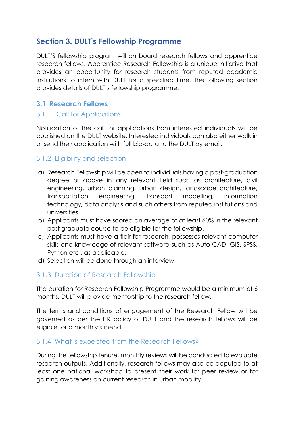# **Section 3. DULT's Fellowship Programme**

DULT'S fellowship program will on board research fellows and apprentice research fellows. Apprentice Research Fellowship is a unique initiative that provides an opportunity for research students from reputed academic institutions to intern with DULT for a specified time. The following section provides details of DULT's fellowship programme.

# <span id="page-4-0"></span>**3.1 Research Fellows**

## 3.1.1 Call for Applications

Notification of the call for applications from interested individuals will be published on the DULT website. Interested individuals can also either walk in or send their application with full bio-data to the DULT by email.

## 3.1.2 Eligibility and selection

- a) Research Fellowship will be open to individuals having a post-graduation degree or above in any relevant field such as architecture, civil engineering, urban planning, urban design, landscape architecture, transportation engineering, transport modelling, information technology, data analysis and such others from reputed institutions and universities.
- b) Applicants must have scored an average of at least 60% in the relevant post graduate course to be eligible for the fellowship.
- c) Applicants must have a flair for research, possesses relevant computer skills and knowledge of relevant software such as Auto CAD, GIS, SPSS, Python etc., as applicable.
- d) Selection will be done through an interview.

## 3.1.3 Duration of Research Fellowship

The duration for Research Fellowship Programme would be a minimum of 6 months. DULT will provide mentorship to the research fellow.

The terms and conditions of engagement of the Research Fellow will be governed as per the HR policy of DULT and the research fellows will be eligible for a monthly stipend.

## 3.1.4 What is expected from the Research Fellows?

During the fellowship tenure, monthly reviews will be conducted to evaluate research outputs. Additionally, research fellows may also be deputed to at least one national workshop to present their work for peer review or for gaining awareness on current research in urban mobility.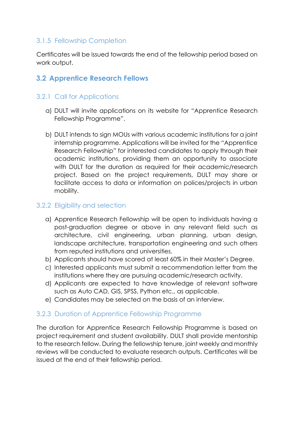## 3.1.5 Fellowship Completion

Certificates will be issued towards the end of the fellowship period based on work output.

## <span id="page-5-0"></span>**3.2 Apprentice Research Fellows**

#### 3.2.1 Call for Applications

- a) DULT will invite applications on its website for "Apprentice Research Fellowship Programme".
- b) DULT intends to sign MOUs with various academic institutions for a joint internship programme. Applications will be invited for the "Apprentice Research Fellowship" for interested candidates to apply through their academic institutions, providing them an opportunity to associate with DULT for the duration as required for their academic/research project. Based on the project requirements, DULT may share or facilitate access to data or information on polices/projects in urban mobility.

#### 3.2.2 Eligibility and selection

- a) Apprentice Research Fellowship will be open to individuals having a post-graduation degree or above in any relevant field such as architecture, civil engineering, urban planning, urban design, landscape architecture, transportation engineering and such others from reputed institutions and universities.
- b) Applicants should have scored at least 60% in their Master's Degree.
- c) Interested applicants must submit a recommendation letter from the institutions where they are pursuing academic/research activity.
- d) Applicants are expected to have knowledge of relevant software such as Auto CAD, GIS, SPSS, Python etc., as applicable.
- e) Candidates may be selected on the basis of an interview.

#### 3.2.3 Duration of Apprentice Fellowship Programme

The duration for Apprentice Research Fellowship Programme is based on project requirement and student availability. DULT shall provide mentorship to the research fellow. During the fellowship tenure, joint weekly and monthly reviews will be conducted to evaluate research outputs. Certificates will be issued at the end of their fellowship period.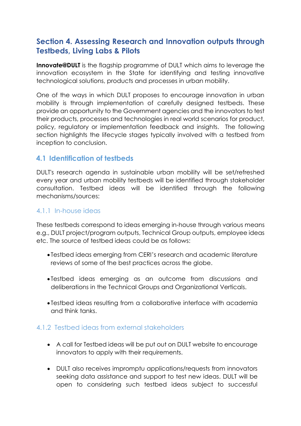# <span id="page-6-0"></span>**Section 4. Assessing Research and Innovation outputs through Testbeds, Living Labs & Pilots**

**Innovate@DULT** is the flagship programme of DULT which aims to leverage the innovation ecosystem in the State for identifying and testing innovative technological solutions, products and processes in urban mobility.

One of the ways in which DULT proposes to encourage innovation in urban mobility is through implementation of carefully designed testbeds. These provide an opportunity to the Government agencies and the innovators to test their products, processes and technologies in real world scenarios for product, policy, regulatory or implementation feedback and insights. The following section highlights the lifecycle stages typically involved with a testbed from inception to conclusion.

## **4.1 Identification of testbeds**

DULT's research agenda in sustainable urban mobility will be set/refreshed every year and urban mobility testbeds will be identified through stakeholder consultation. Testbed ideas will be identified through the following mechanisms/sources:

## 4.1.1 In-house ideas

These testbeds correspond to ideas emerging in-house through various means e.g., DULT project/program outputs, Technical Group outputs, employee ideas etc. The source of testbed ideas could be as follows:

- Testbed ideas emerging from CERI's research and academic literature reviews of some of the best practices across the globe.
- Testbed ideas emerging as an outcome from discussions and deliberations in the Technical Groups and Organizational Verticals.
- Testbed ideas resulting from a collaborative interface with academia and think tanks.

#### 4.1.2 Testbed ideas from external stakeholders

- A call for Testbed ideas will be put out on DULT website to encourage innovators to apply with their requirements.
- DULT also receives impromptu applications/requests from innovators seeking data assistance and support to test new ideas. DULT will be open to considering such testbed ideas subject to successful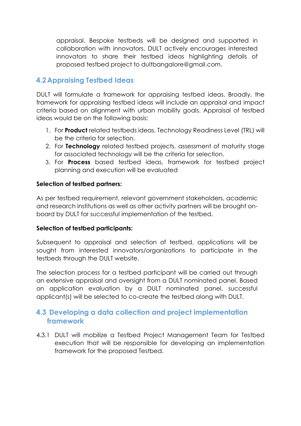appraisal. Bespoke testbeds will be designed and supported in collaboration with innovators. DULT actively encourages interested innovators to share their testbed ideas highlighting details of proposed testbed project to [dultbangalore@gmail.com.](mailto:dultbangalore@gmail.com)

# **4.2 Appraising Testbed Ideas**

DULT will formulate a framework for appraising testbed ideas. Broadly, the framework for appraising testbed ideas will include an appraisal and impact criteria based on alignment with urban mobility goals. Appraisal of testbed ideas would be on the following basis:

- 1. For **Product** related testbeds ideas, Technology Readiness Level (TRL) will be the criteria for selection.
- 2. For **Technology** related testbed projects, assessment of maturity stage for associated technology will be the criteria for selection.
- 3. For **Process** based testbed ideas, framework for testbed project planning and execution will be evaluated

#### **Selection of testbed partners:**

As per testbed requirement, relevant government stakeholders, academic and research institutions as well as other activity partners will be brought onboard by DULT for successful implementation of the testbed.

#### **Selection of testbed participants:**

Subsequent to appraisal and selection of testbed, applications will be sought from interested innovators/organizations to participate in the testbeds through the DULT website.

The selection process for a testbed participant will be carried out through an extensive appraisal and oversight from a DULT nominated panel. Based on application evaluation by a DULT nominated panel, successful applicant(s) will be selected to co-create the testbed along with DULT.

## **4.3 Developing a data collection and project implementation framework**

4.3.1 DULT will mobilize a Testbed Project Management Team for Testbed execution that will be responsible for developing an implementation framework for the proposed Testbed.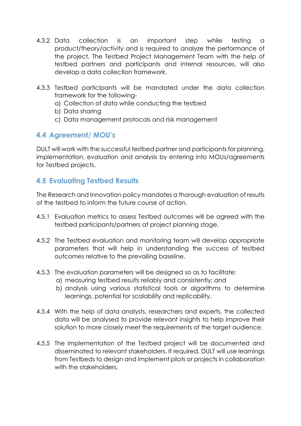- 4.3.2 Data collection is an important step while testing a product/theory/activity and is required to analyze the performance of the project. The Testbed Project Management Team with the help of testbed partners and participants and internal resources, will also develop a data collection framework.
- 4.3.3 Testbed participants will be mandated under the data collection framework for the following
	- a) Collection of data while conducting the testbed
	- b) Data sharing
	- c) Data management protocols and risk management

## **4.4 Agreement/ MOU's**

DULT will work with the successful testbed partner and participants for planning, implementation, evaluation and analysis by entering into MOUs/agreements for Testbed projects.

## **4.5 Evaluating Testbed Results**

The Research and Innovation policy mandates a thorough evaluation of results of the testbed to inform the future course of action.

- 4.5.1 Evaluation metrics to assess Testbed outcomes will be agreed with the testbed participants/partners at project planning stage.
- 4.5.2 The Testbed evaluation and monitoring team will develop appropriate parameters that will help in understanding the success of testbed outcomes relative to the prevailing baseline.
- 4.5.3 The evaluation parameters will be designed so as to facilitate:
	- a) measuring testbed results reliably and consistently; and
	- b) analysis using various statistical tools or algorithms to determine learnings, potential for scalability and replicability.
- 4.5.4 With the help of data analysts, researchers and experts, the collected data will be analysed to provide relevant insights to help improve their solution to more closely meet the requirements of the target audience.
- 4.5.5 The implementation of the Testbed project will be documented and disseminated to relevant stakeholders. If required, DULT will use learnings from Testbeds to design and implement pilots or projects in collaboration with the stakeholders.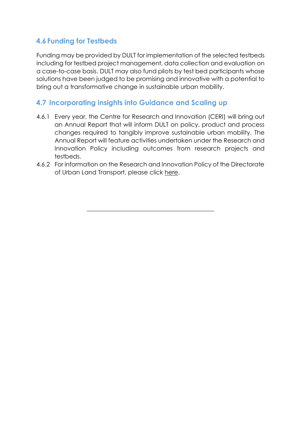# **4.6 Funding for Testbeds**

Funding may be provided by DULT for implementation of the selected testbeds including for testbed project management, data collection and evaluation on a case-to-case basis. DULT may also fund pilots by test bed participants whose solutions have been judged to be promising and innovative with a potential to bring out a transformative change in sustainable urban mobility.

# **4.7 Incorporating insights into Guidance and Scaling up**

- 4.6.1 Every year, the Centre for Research and Innovation (CERI) will bring out an Annual Report that will inform DULT on policy, product and process changes required to tangibly improve sustainable urban mobility. The Annual Report will feature activities undertaken under the Research and Innovation Policy including outcomes from research projects and testbeds.
- 4.6.2 For information on the Research and Innovation Policy of the Directorate of Urban Land Transport, please click [here.](https://drive.google.com/file/d/1q-zvuEjtlXPfXRg106GANYh14HtZBadc/view?usp=sharing)

\_\_\_\_\_\_\_\_\_\_\_\_\_\_\_\_\_\_\_\_\_\_\_\_\_\_\_\_\_\_\_\_\_\_\_\_\_\_\_\_\_\_